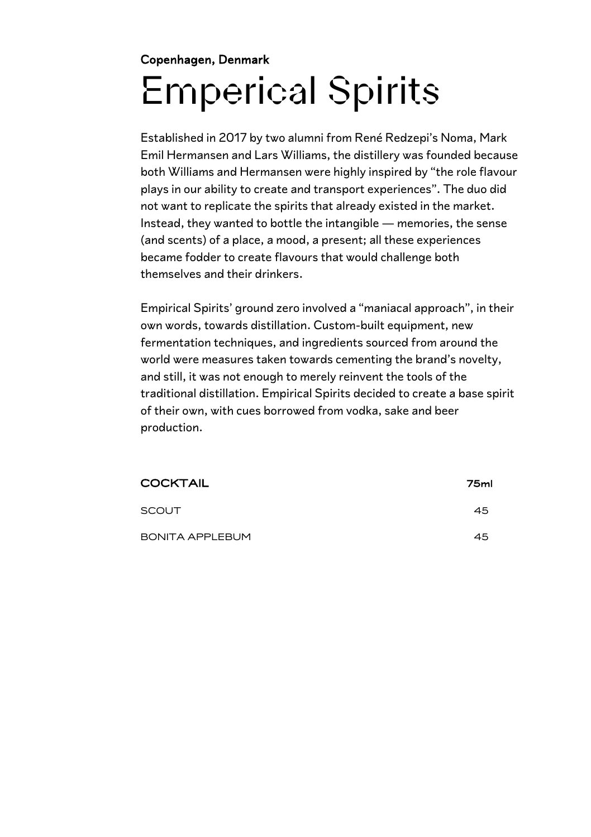### Copenhagen, Denmark Emperical Spirits

Established in 2017 by two alumni from René Redzepi's Noma, Mark Emil Hermansen and Lars Williams, the distillery was founded because both Williams and Hermansen were highly inspired by "the role flavour plays in our ability to create and transport experiences". The duo did not want to replicate the spirits that already existed in the market. Instead, they wanted to bottle the intangible — memories, the sense (and scents) of a place, a mood, a present; all these experiences became fodder to create flavours that would challenge both themselves and their drinkers.

Empirical Spirits' ground zero involved a "maniacal approach", in their own words, towards distillation. Custom-built equipment, new fermentation techniques, and ingredients sourced from around the world were measures taken towards cementing the brand's novelty, and still, it was not enough to merely reinvent the tools of the traditional distillation. Empirical Spirits decided to create a base spirit of their own, with cues borrowed from vodka, sake and beer production.

| <b>COCKTAIL</b>        | 75ml |
|------------------------|------|
| SCOUT                  | 45   |
| <b>BONITA APPLEBUM</b> | 45   |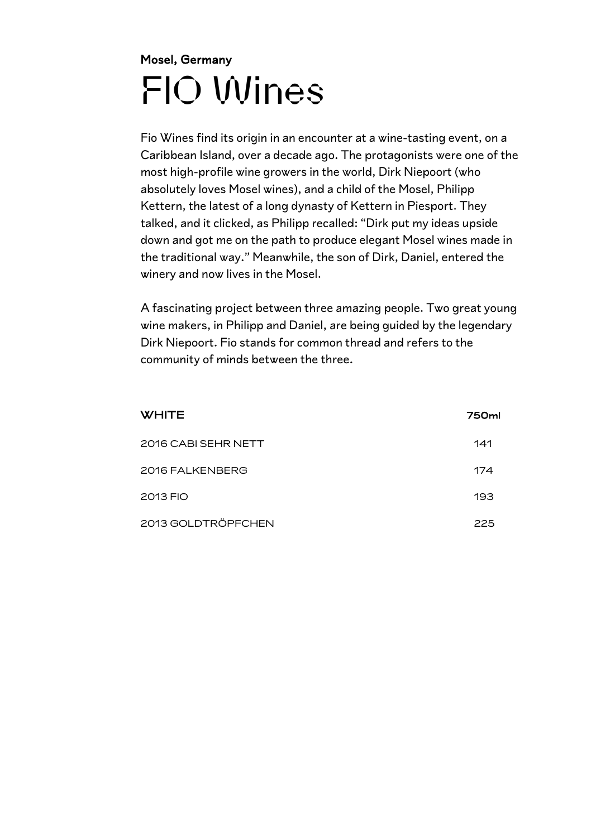### Mosel, Germany FIO Wines

Fio Wines find its origin in an encounter at a wine-tasting event, on a Caribbean Island, over a decade ago. The protagonists were one of the most high-profile wine growers in the world, Dirk Niepoort (who absolutely loves Mosel wines), and a child of the Mosel, Philipp Kettern, the latest of a long dynasty of Kettern in Piesport. They talked, and it clicked, as Philipp recalled: "Dirk put my ideas upside down and got me on the path to produce elegant Mosel wines made in the traditional way." Meanwhile, the son of Dirk, Daniel, entered the winery and now lives in the Mosel.

A fascinating project between three amazing people. Two great young wine makers, in Philipp and Daniel, are being guided by the legendary Dirk Niepoort. Fio stands for common thread and refers to the community of minds between the three.

| <b>WHITE</b>        | 750ml |
|---------------------|-------|
| 2016 CABI SEHR NETT | 141   |
| 2016 FALKENBERG     | 174   |
| 2013 FIO            | 193   |
| 2013 GOLDTRÖPFCHEN  | 225   |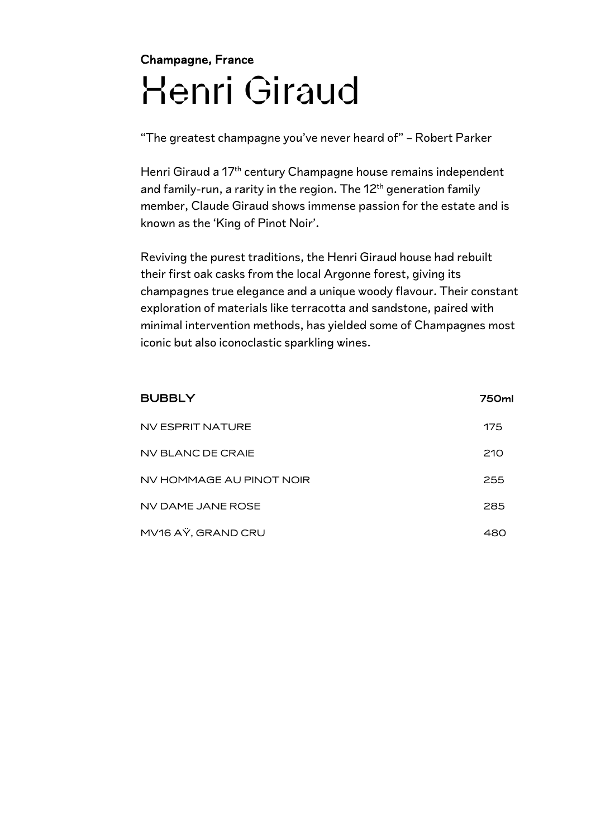### Champagne, France Henri Giraud

"The greatest champagne you've never heard of" – Robert Parker

Henri Giraud a 17<sup>th</sup> century Champagne house remains independent and family-run, a rarity in the region. The  $12<sup>th</sup>$  generation family member, Claude Giraud shows immense passion for the estate and is known as the 'King of Pinot Noir'.

Reviving the purest traditions, the Henri Giraud house had rebuilt their first oak casks from the local Argonne forest, giving its champagnes true elegance and a unique woody flavour. Their constant exploration of materials like terracotta and sandstone, paired with minimal intervention methods, has yielded some of Champagnes most iconic but also iconoclastic sparkling wines.

| <b>BUBBLY</b>            | 750ml |
|--------------------------|-------|
| NV ESPRIT NATURE         | 175   |
| NV BLANC DE CRAIE        | 210   |
| NV HOMMAGE AU PINOT NOIR | 255   |
| NV DAME JANE ROSE        | 285   |
| MV16 AŸ, GRAND CRU       | 480   |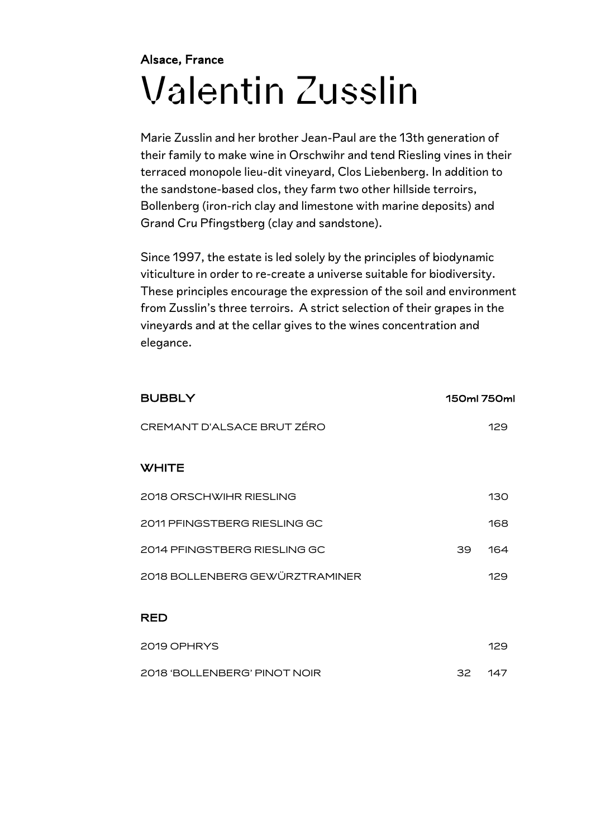### Alsace, France Valentin Zusslin

Marie Zusslin and her brother Jean-Paul are the 13th generation of their family to make wine in Orschwihr and tend Riesling vines in their terraced monopole lieu-dit vineyard, Clos Liebenberg. In addition to the sandstone-based clos, they farm two other hillside terroirs, Bollenberg (iron-rich clay and limestone with marine deposits) and Grand Cru Pfingstberg (clay and sandstone).

Since 1997, the estate is led solely by the principles of biodynamic viticulture in order to re-create a universe suitable for biodiversity. These principles encourage the expression of the soil and environment from Zusslin's three terroirs. A strict selection of their grapes in the vineyards and at the cellar gives to the wines concentration and elegance.

| <b>BUBBLY</b>                  |    | 150ml 750ml |
|--------------------------------|----|-------------|
| CREMANT D'ALSACE BRUT ZÉRO     |    | 129         |
| <b>WHITE</b>                   |    |             |
| 2018 ORSCHWIHR RIESLING        |    | 130         |
| 2011 PFINGSTBERG RIESLING GC   |    | 168         |
| 2014 PFINGSTBERG RIESLING GC   | 39 | 164         |
| 2018 BOLLENBERG GEWÜRZTRAMINER |    | 129         |
| <b>RED</b>                     |    |             |
| 2019 OPHRYS                    |    | 129         |

| 2018 'BOLLENBERG' PINOT NOIR | -147 |
|------------------------------|------|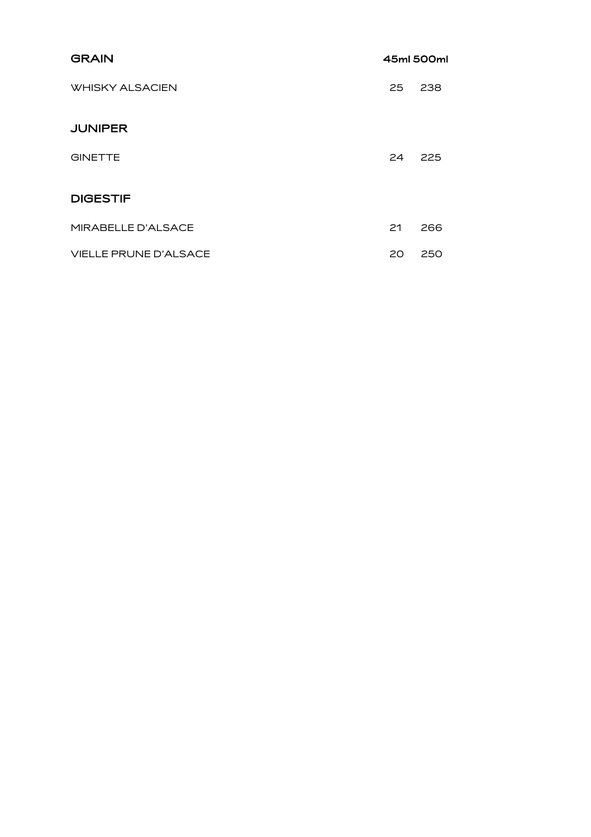| <b>GRAIN</b>                 |    | 45ml 500ml |
|------------------------------|----|------------|
| <b>WHISKY ALSACIEN</b>       | 25 | 238        |
| <b>JUNIPER</b>               |    |            |
| <b>GINETTE</b>               | 24 | 225        |
| <b>DIGESTIF</b>              |    |            |
| MIRABELLE D'ALSACE           | 21 | 266        |
| <b>VIELLE PRUNE D'ALSACE</b> | 20 | 250        |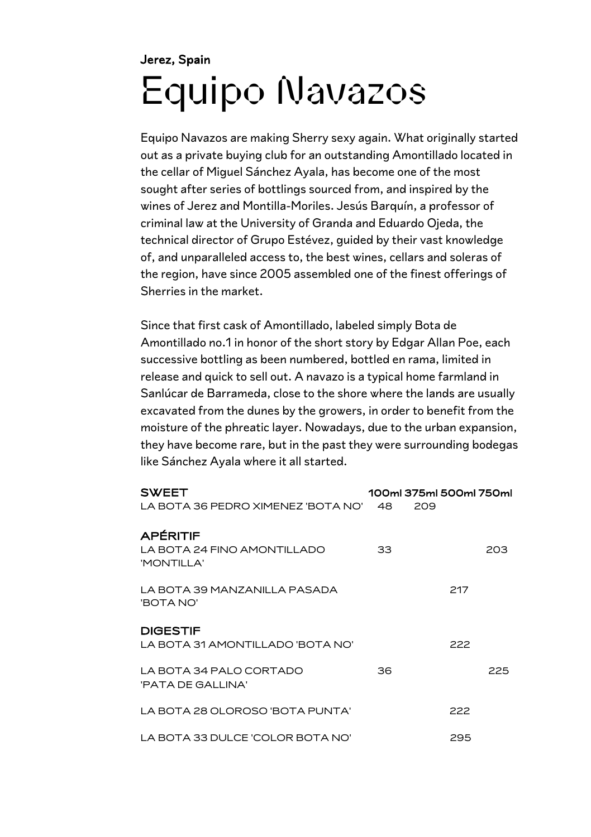### Jerez, Spain Equipo Navazos

Equipo Navazos are making Sherry sexy again. What originally started out as a private buying club for an outstanding Amontillado located in the cellar of Miguel Sánchez Ayala, has become one of the most sought after series of bottlings sourced from, and inspired by the wines of Jerez and Montilla-Moriles. Jesús Barquín, a professor of criminal law at the University of Granda and Eduardo Ojeda, the technical director of Grupo Estévez, guided by their vast knowledge of, and unparalleled access to, the best wines, cellars and soleras of the region, have since 2005 assembled one of the finest offerings of Sherries in the market.

Since that first cask of Amontillado, labeled simply Bota de Amontillado no.1 in honor of the short story by Edgar Allan Poe, each successive bottling as been numbered, bottled en rama, limited in release and quick to sell out. A navazo is a typical home farmland in Sanlúcar de Barrameda, close to the shore where the lands are usually excavated from the dunes by the growers, in order to benefit from the moisture of the phreatic layer. Nowadays, due to the urban expansion, they have become rare, but in the past they were surrounding bodegas like Sánchez Ayala where it all started.

| <b>SWEET</b><br>LA BOTA 36 PEDRO XIMENEZ 'BOTA NO'           | 48 | 100ml 375ml 500ml 750ml<br>209 |  |
|--------------------------------------------------------------|----|--------------------------------|--|
| <b>APÉRITIF</b><br>LA BOTA 24 FINO AMONTILLADO<br>'MONTILLA' | 33 | 203                            |  |
| LA BOTA 39 MANZANILLA PASADA<br><b>BOTANO'</b>               |    | 217                            |  |
| <b>DIGESTIF</b><br>LA BOTA 31 AMONTILLADO 'BOTA NO'          |    | 222                            |  |
| LA BOTA 34 PALO CORTADO<br>'PATA DE GALLINA'                 | 36 | 225                            |  |
| LA BOTA 28 OLOROSO 'BOTA PUNTA'                              |    | 222                            |  |
| LA BOTA 33 DULCE 'COLOR BOTA NO'                             |    | 295                            |  |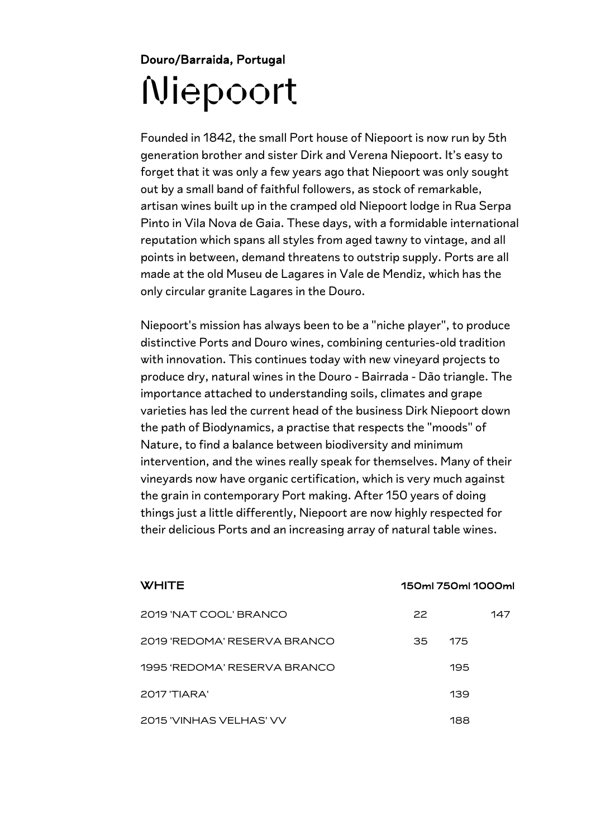#### Douro/Barraida, Portugal Niepoort

Founded in 1842, the small Port house of Niepoort is now run by 5th generation brother and sister Dirk and Verena Niepoort. It's easy to forget that it was only a few years ago that Niepoort was only sought out by a small band of faithful followers, as stock of remarkable, artisan wines built up in the cramped old Niepoort lodge in Rua Serpa Pinto in Vila Nova de Gaia. These days, with a formidable international reputation which spans all styles from aged tawny to vintage, and all points in between, demand threatens to outstrip supply. Ports are all made at the old Museu de Lagares in Vale de Mendiz, which has the only circular granite Lagares in the Douro.

Niepoort's mission has always been to be a "niche player", to produce distinctive Ports and Douro wines, combining centuries-old tradition with innovation. This continues today with new vineyard projects to produce dry, natural wines in the Douro - Bairrada - Dão triangle. The importance attached to understanding soils, climates and grape varieties has led the current head of the business Dirk Niepoort down the path of Biodynamics, a practise that respects the "moods" of Nature, to find a balance between biodiversity and minimum intervention, and the wines really speak for themselves. Many of their vineyards now have organic certification, which is very much against the grain in contemporary Port making. After 150 years of doing things just a little differently, Niepoort are now highly respected for their delicious Ports and an increasing array of natural table wines.

| WHITE                        |    | 150ml 750ml 1000ml |     |
|------------------------------|----|--------------------|-----|
| 2019 'NAT COOL' BRANCO       | 22 |                    | 147 |
| 2019 'REDOMA' RESERVA BRANCO | 35 | 175                |     |
| 1995 'REDOMA' RESERVA BRANCO |    | 195                |     |
| 2017 'TIARA'                 |    | 139                |     |
| 2015 'VINHAS VELHAS' VV      |    | 188                |     |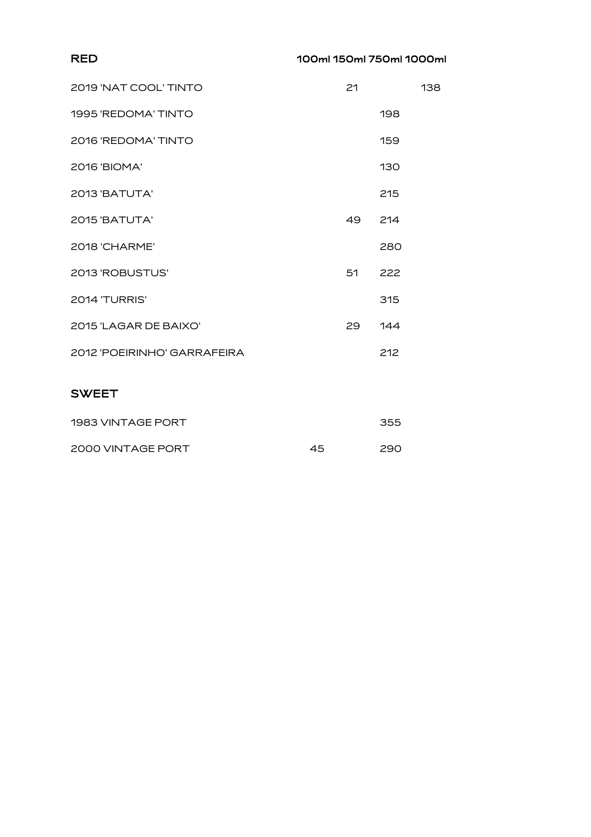#### RED 100ml 150ml 750ml 1000ml

| 2019 'NAT COOL' TINTO       | 21 |     | 138 |
|-----------------------------|----|-----|-----|
| 1995 'REDOMA' TINTO         |    | 198 |     |
| 2016 'REDOMA' TINTO         |    | 159 |     |
| 2016 'BIOMA'                |    | 130 |     |
| 2013 'BATUTA'               |    | 215 |     |
| 2015 'BATUTA'               | 49 | 214 |     |
| 2018 'CHARME'               |    | 280 |     |
| 2013 'ROBUSTUS'             | 51 | 222 |     |
| 2014 'TURRIS'               |    | 315 |     |
| 2015 'LAGAR DE BAIXO'       | 29 | 144 |     |
| 2012 'POEIRINHO' GARRAFEIRA |    | 212 |     |
|                             |    |     |     |

#### SWEET

| 1983 VINTAGE PORT |    | 355 |
|-------------------|----|-----|
| 2000 VINTAGE PORT | 45 | 290 |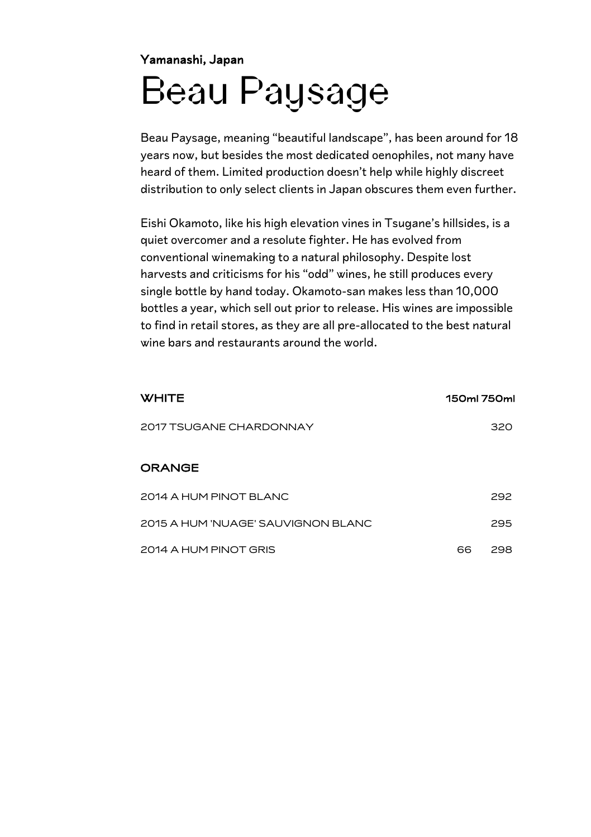#### Yamanashi, Japan Beau Paysage

Beau Paysage, meaning "beautiful landscape", has been around for 18 years now, but besides the most dedicated oenophiles, not many have heard of them. Limited production doesn't help while highly discreet distribution to only select clients in Japan obscures them even further.

Eishi Okamoto, like his high elevation vines in Tsugane's hillsides, is a quiet overcomer and a resolute fighter. He has evolved from conventional winemaking to a natural philosophy. Despite lost harvests and criticisms for his "odd" wines, he still produces every single bottle by hand today. Okamoto-san makes less than 10,000 bottles a year, which sell out prior to release. His wines are impossible to find in retail stores, as they are all pre-allocated to the best natural wine bars and restaurants around the world.

| <b>WHITE</b>                       | 150ml 750ml |     |
|------------------------------------|-------------|-----|
| 2017 TSUGANE CHARDONNAY            |             | 320 |
| <b>ORANGE</b>                      |             |     |
| 2014 A HUM PINOT BLANC             |             | 292 |
| 2015 A HUM 'NUAGE' SAUVIGNON BLANC |             | 295 |
| 2014 A HUM PINOT GRIS              | 66          | 298 |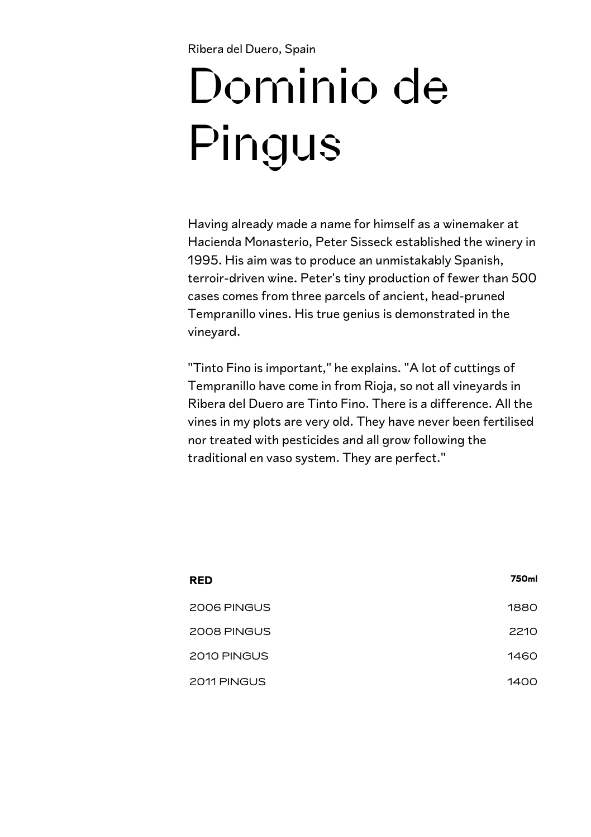Ribera del Duero, Spain

# Dominio de Pingus

Having already made a name for himself as a winemaker at Hacienda Monasterio, Peter Sisseck established the winery in 1995. His aim was to produce an unmistakably Spanish, terroir-driven wine. Peter's tiny production of fewer than 500 cases comes from three parcels of ancient, head-pruned Tempranillo vines. His true genius is demonstrated in the vineyard.

"Tinto Fino is important," he explains. "A lot of cuttings of Tempranillo have come in from Rioja, so not all vineyards in Ribera del Duero are Tinto Fino. There is a difference. All the vines in my plots are very old. They have never been fertilised nor treated with pesticides and all grow following the traditional en vaso system. They are perfect."

| <b>RED</b>  | 750ml |
|-------------|-------|
| 2006 PINGUS | 1880  |
| 2008 PINGUS | 2210  |
| 2010 PINGUS | 1460  |
| 2011 PINGUS | 1400  |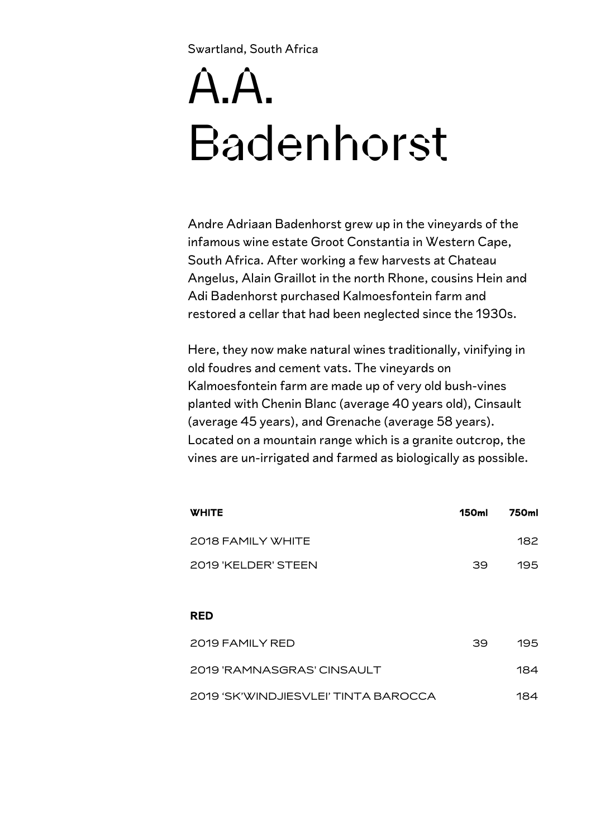Swartland, South Africa

## $\overline{A}$  $\overline{A}$ Badenhorst

Andre Adriaan Badenhorst grew up in the vineyards of the infamous wine estate Groot Constantia in Western Cape, South Africa. After working a few harvests at Chateau Angelus, Alain Graillot in the north Rhone, cousins Hein and Adi Badenhorst purchased Kalmoesfontein farm and restored a cellar that had been neglected since the 1930s.

Here, they now make natural wines traditionally, vinifying in old foudres and cement vats. The vineyards on Kalmoesfontein farm are made up of very old bush-vines planted with Chenin Blanc (average 40 years old), Cinsault (average 45 years), and Grenache (average 58 years). Located on a mountain range which is a granite outcrop, the vines are un-irrigated and farmed as biologically as possible.

| <b>WHITE</b>                         | <b>150ml</b> | 750ml |
|--------------------------------------|--------------|-------|
| 2018 FAMILY WHITE                    |              | 182   |
| 2019 'KELDER' STEEN                  | 39           | 195   |
|                                      |              |       |
| <b>RED</b>                           |              |       |
| 2019 FAMILY RED                      | 39           | 195   |
| 2019 'RAMNASGRAS' CINSAULT           |              | 184   |
| 2019 'SK'WINDJIESVLEI' TINTA BAROCCA |              | 184   |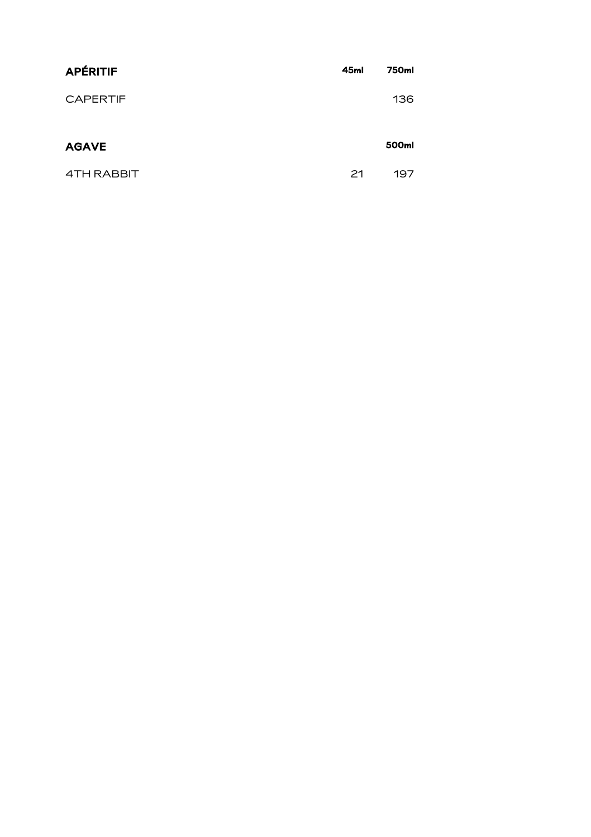| <b>APÉRITIF</b> | 45ml | 750ml |
|-----------------|------|-------|
| <b>CAPERTIF</b> |      | 136   |
| <b>AGAVE</b>    |      | 500ml |
| 4TH RABBIT      | 21   | 197   |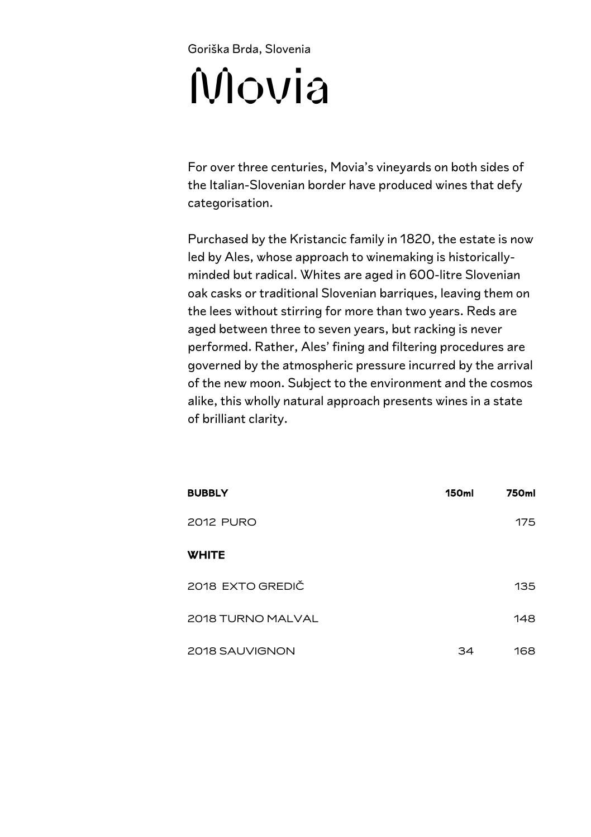## Goriška Brda, Slovenia Movia

For over three centuries, Movia's vineyards on both sides of the Italian-Slovenian border have produced wines that defy categorisation.

Purchased by the Kristancic family in 1820, the estate is now led by Ales, whose approach to winemaking is historicallyminded but radical. Whites are aged in 600-litre Slovenian oak casks or traditional Slovenian barriques, leaving them on the lees without stirring for more than two years. Reds are aged between three to seven years, but racking is never performed. Rather, Ales' fining and filtering procedures are governed by the atmospheric pressure incurred by the arrival of the new moon. Subject to the environment and the cosmos alike, this wholly natural approach presents wines in a state of brilliant clarity.

| <b>BUBBLY</b>     | <b>150ml</b> | 750ml |
|-------------------|--------------|-------|
| <b>2012 PURO</b>  |              | 175   |
| <b>WHITE</b>      |              |       |
| 2018 EXTO GREDIČ  |              | 135   |
| 2018 TURNO MALVAL |              | 148   |
| 2018 SAUVIGNON    | 34           | 168   |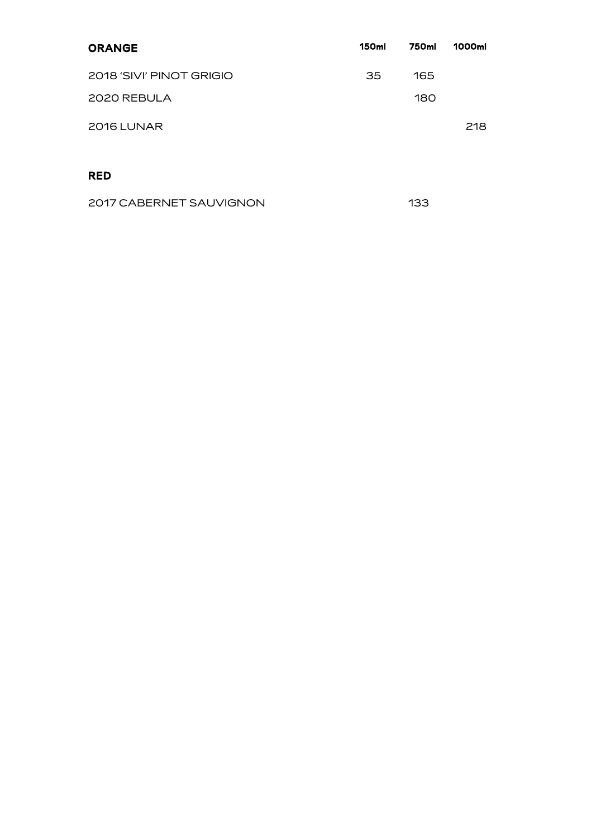| <b>ORANGE</b>            | <b>150ml</b> | 750ml | 1000ml |
|--------------------------|--------------|-------|--------|
| 2018 'SIVI' PINOT GRIGIO | 35           | 165   |        |
| 2020 REBULA              |              | 180   |        |
| 2016 LUNAR               |              |       | 218    |
|                          |              |       |        |
| RED                      |              |       |        |

| 2017 CABERNET SAUVIGNON | 133 |
|-------------------------|-----|
|                         |     |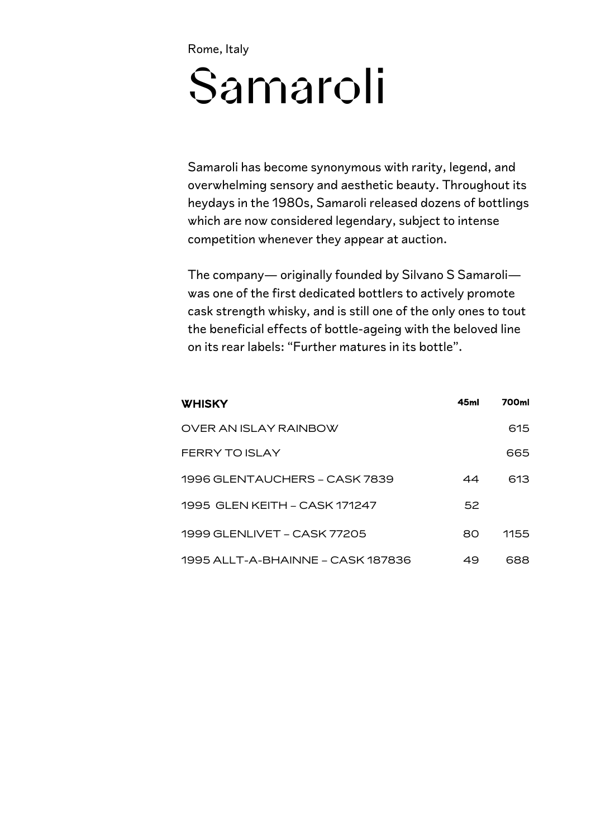Rome, Italy

## Samaroli

Samaroli has become synonymous with rarity, legend, and overwhelming sensory and aesthetic beauty. Throughout its heydays in the 1980s, Samaroli released dozens of bottlings which are now considered legendary, subject to intense competition whenever they appear at auction.

The company— originally founded by Silvano S Samaroli was one of the first dedicated bottlers to actively promote cask strength whisky, and is still one of the only ones to tout the beneficial effects of bottle-ageing with the beloved line on its rear labels: "Further matures in its bottle".

| <b>WHISKY</b>                     | 45ml | 700ml |
|-----------------------------------|------|-------|
| OVER AN ISLAY RAINBOW             |      | 615   |
| FFRRY TO ISLAY                    |      | 665   |
| 1996 GLENTAUCHERS – CASK 7839     | 44   | 613   |
| 1995 GLEN KEITH – CASK 171247     | 52   |       |
| 1999 GLENLIVET – CASK 77205       | ദറ   | 1155  |
| 1995 ALLT-A-BHAINNE – CASK 187836 | 49   | 688   |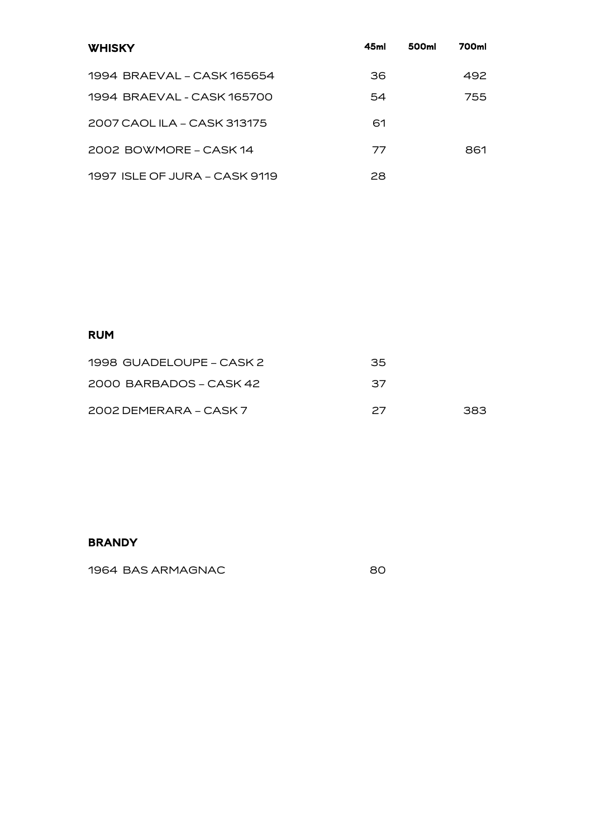| <b>WHISKY</b>                 | 45ml | 500ml | 700ml |
|-------------------------------|------|-------|-------|
| 1994 BRAFVAL - CASK 165654    | 36   |       | 492   |
| 1994 BRAEVAL - CASK 165700    | 54   |       | 755   |
| 2007 CAOL ILA – CASK 313175   | 61   |       |       |
| 2002 BOWMORE – CASK 14        | 77   |       | 861   |
| 1997 ISLE OF JURA - CASK 9119 | 28   |       |       |

#### RUM

| 1998 GUADELOUPE – CASK 2 | 35 |     |
|--------------------------|----|-----|
| 2000 BARBADOS – CASK 42  | 37 |     |
| 2002 DEMERARA – CASK 7   | 27 | 383 |

#### BRANDY

1964 BAS ARMAGNAC 80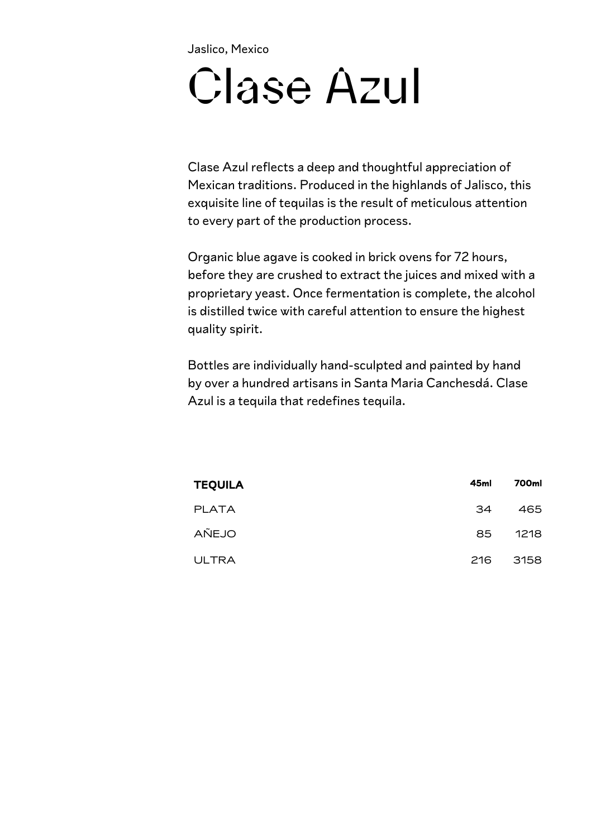Jaslico, Mexico

## Clase Azul

Clase Azul reflects a deep and thoughtful appreciation of Mexican traditions. Produced in the highlands of Jalisco, this exquisite line of tequilas is the result of meticulous attention to every part of the production process.

Organic blue agave is cooked in brick ovens for 72 hours, before they are crushed to extract the juices and mixed with a proprietary yeast. Once fermentation is complete, the alcohol is distilled twice with careful attention to ensure the highest quality spirit.

Bottles are individually hand-sculpted and painted by hand by over a hundred artisans in Santa Maria Canchesdá. Clase Azul is a tequila that redefines tequila.

| <b>TEQUILA</b> | 45ml | 700ml |
|----------------|------|-------|
| <b>PLATA</b>   | 34   | 465   |
| AÑEJO          | 85   | 1218  |
| <b>ULTRA</b>   | 216  | 3158  |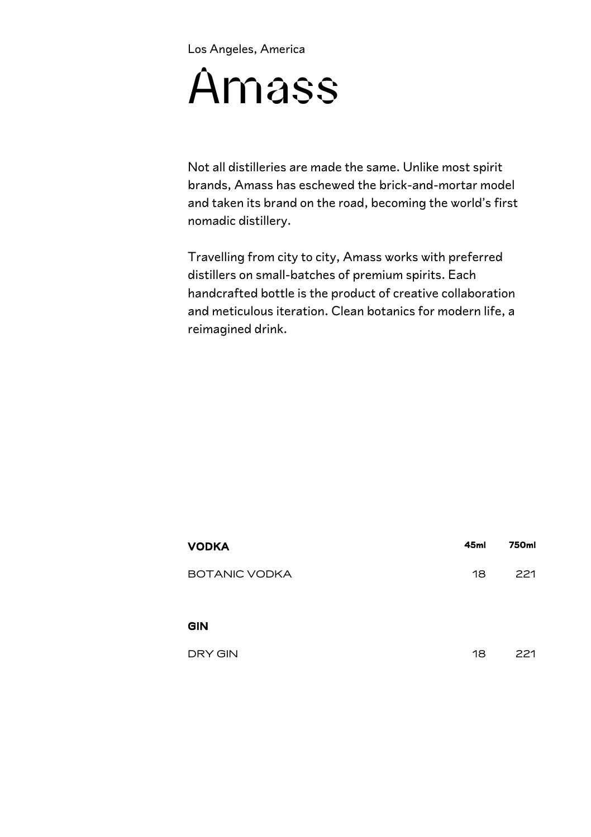Los Angeles, America

## Amass

Not all distilleries are made the same. Unlike most spirit brands, Amass has eschewed the brick-and-mortar model and taken its brand on the road, becoming the world's first nomadic distillery.

Travelling from city to city, Amass works with preferred distillers on small-batches of premium spirits. Each handcrafted bottle is the product of creative collaboration and meticulous iteration. Clean botanics for modern life, a reimagined drink.

| <b>VODKA</b>         | 45ml | 750ml |
|----------------------|------|-------|
| <b>BOTANIC VODKA</b> | 18   | 221   |
| <b>GIN</b>           |      |       |
| DRY GIN              | 18   | 221   |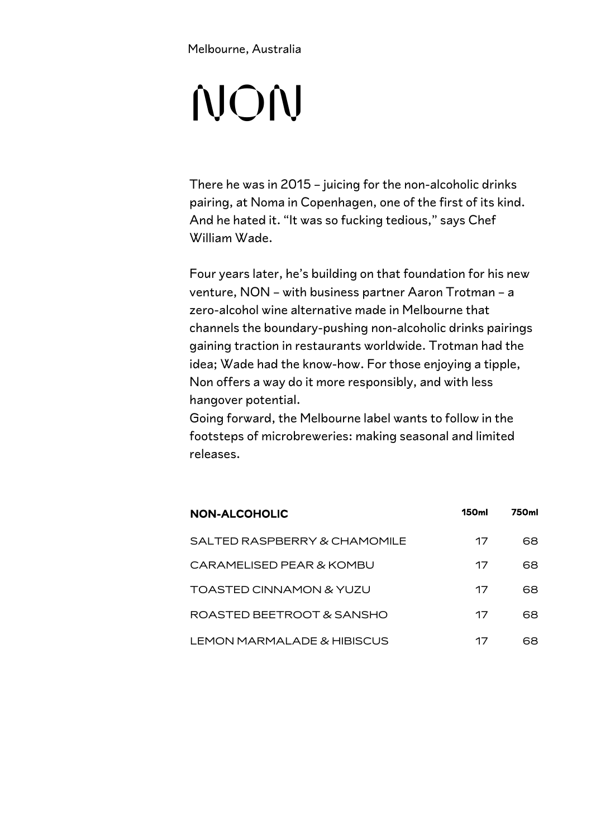Melbourne, Australia

## NON

There he was in 2015 – juicing for the non-alcoholic drinks pairing, at Noma in Copenhagen, one of the first of its kind. And he hated it. "It was so fucking tedious," says Chef William Wade.

Four years later, he's building on that foundation for his new venture, NON – with business partner Aaron Trotman – a zero-alcohol wine alternative made in Melbourne that channels the boundary-pushing non-alcoholic drinks pairings gaining traction in restaurants worldwide. Trotman had the idea; Wade had the know-how. For those enjoying a tipple, Non offers a way do it more responsibly, and with less hangover potential.

Going forward, the Melbourne label wants to follow in the footsteps of microbreweries: making seasonal and limited releases.

| <b>NON-ALCOHOLIC</b>         | 150ml | 750ml |
|------------------------------|-------|-------|
| SALTED RASPBERRY & CHAMOMILE | 17    | 68    |
| CARAMELISED PEAR & KOMBU     | 17    | 68    |
| TOASTED CINNAMON & YUZU      | 17    | 68    |
| ROASTED BEETROOT & SANSHO    | 17    | 68    |
| LEMON MARMALADE & HIBISCUS   | 17    | 68    |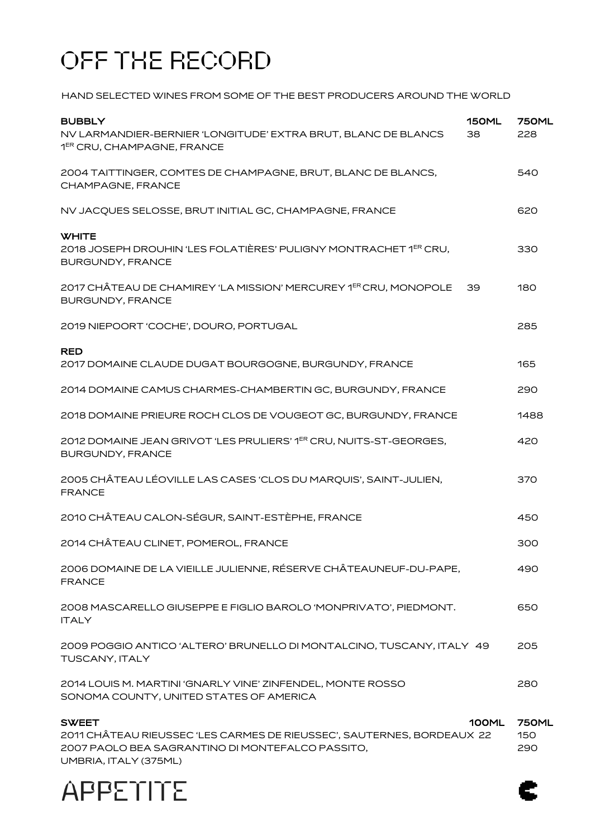### OFF THE RECORD

HAND SELECTED WINES FROM SOME OF THE BEST PRODUCERS AROUND THE WORLD

| <b>BUBBLY</b><br>NV LARMANDIER-BERNIER 'LONGITUDE' EXTRA BRUT, BLANC DE BLANCS<br>1 <sup>ER</sup> CRU, CHAMPAGNE, FRANCE                                            | 150ML<br>38 | <b>750ML</b><br>228        |
|---------------------------------------------------------------------------------------------------------------------------------------------------------------------|-------------|----------------------------|
| 2004 TAITTINGER, COMTES DE CHAMPAGNE, BRUT, BLANC DE BLANCS,<br>CHAMPAGNE, FRANCE                                                                                   |             | 540                        |
| NV JACQUES SELOSSE, BRUT INITIAL GC, CHAMPAGNE, FRANCE                                                                                                              |             | 620                        |
| <b>WHITE</b><br>2018 JOSEPH DROUHIN 'LES FOLATIÈRES' PULIGNY MONTRACHET 1 <sup>ER</sup> CRU,<br><b>BURGUNDY, FRANCE</b>                                             |             | 330                        |
| 2017 CHÂTEAU DE CHAMIREY 'LA MISSION' MERCUREY 1 <sup>ER</sup> CRU, MONOPOLE<br><b>BURGUNDY, FRANCE</b>                                                             | 39          | 180                        |
| 2019 NIEPOORT 'COCHE', DOURO, PORTUGAL                                                                                                                              |             | 285                        |
| <b>RED</b><br>2017 DOMAINE CLAUDE DUGAT BOURGOGNE, BURGUNDY, FRANCE                                                                                                 |             | 165                        |
| 2014 DOMAINE CAMUS CHARMES-CHAMBERTIN GC, BURGUNDY, FRANCE                                                                                                          |             | 290                        |
| 2018 DOMAINE PRIEURE ROCH CLOS DE VOUGEOT GC, BURGUNDY, FRANCE                                                                                                      |             | 1488                       |
| 2012 DOMAINE JEAN GRIVOT 'LES PRULIERS' 1ER CRU, NUITS-ST-GEORGES,<br><b>BURGUNDY, FRANCE</b>                                                                       |             | 420                        |
| 2005 CHÂTEAU LÉOVILLE LAS CASES 'CLOS DU MARQUIS', SAINT-JULIEN,<br><b>FRANCE</b>                                                                                   |             | 370                        |
| 2010 CHÂTEAU CALON-SÉGUR, SAINT-ESTÈPHE, FRANCE                                                                                                                     |             | 450                        |
| 2014 CHÂTEAU CLINET, POMEROL, FRANCE                                                                                                                                |             | 300                        |
| 2006 DOMAINE DE LA VIEILLE JULIENNE, RÉSERVE CHÂTEAUNEUF-DU-PAPE,<br><b>FRANCE</b>                                                                                  |             | 490                        |
| 2008 MASCARELLO GIUSEPPE E FIGLIO BAROLO 'MONPRIVATO', PIEDMONT.<br><b>ITALY</b>                                                                                    |             | 650                        |
| 2009 POGGIO ANTICO 'ALTERO' BRUNELLO DI MONTALCINO, TUSCANY, ITALY 49<br>TUSCANY, ITALY                                                                             |             | 205                        |
| 2014 LOUIS M. MARTINI 'GNARLY VINE' ZINFENDEL, MONTE ROSSO<br>SONOMA COUNTY, UNITED STATES OF AMERICA                                                               |             | 280                        |
| <b>SWEET</b><br>2011 CHÂTEAU RIEUSSEC 'LES CARMES DE RIEUSSEC', SAUTERNES, BORDEAUX 22<br>2007 PAOLO BEA SAGRANTINO DI MONTEFALCO PASSITO.<br>UMBRIA, ITALY (375ML) | 100ML       | <b>750ML</b><br>150<br>290 |